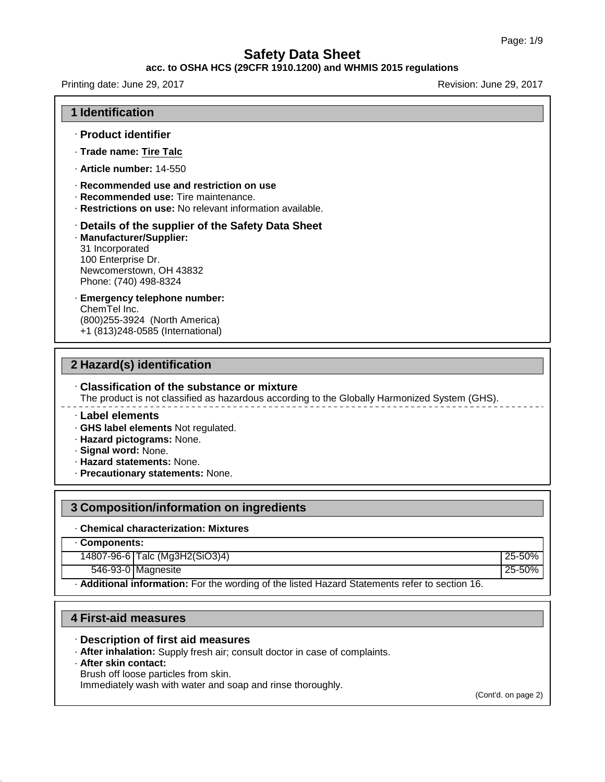### **acc. to OSHA HCS (29CFR 1910.1200) and WHMIS 2015 regulations**

Printing date: June 29, 2017 **Revision: June 29, 2017** Revision: June 29, 2017

#### **1 Identification**

- · **Product identifier**
- · **Trade name: Tire Talc**
- · **Article number:** 14-550
- · **Recommended use and restriction on use**
- · **Recommended use:** Tire maintenance.
- · **Restrictions on use:** No relevant information available.

#### · **Details of the supplier of the Safety Data Sheet**

- · **Manufacturer/Supplier:** 31 Incorporated 100 Enterprise Dr. Newcomerstown, OH 43832 Phone: (740) 498-8324
- · **Emergency telephone number:** ChemTel Inc. (800)255-3924 (North America)
- +1 (813)248-0585 (International)

### **2 Hazard(s) identification**

### · **Classification of the substance or mixture**

The product is not classified as hazardous according to the Globally Harmonized System (GHS).

#### · **Label elements**

- · **GHS label elements** Not regulated.
- · **Hazard pictograms:** None.
- · **Signal word:** None.
- · **Hazard statements:** None.
- · **Precautionary statements:** None.

### **3 Composition/information on ingredients**

#### · **Chemical characterization: Mixtures**

· **Components:**

14807-96-6 Talc (Mg3H2(SiO3)4) 25-50%

546-93-0 Magnesite 25-50%

· **Additional information:** For the wording of the listed Hazard Statements refer to section 16.

### **4 First-aid measures**

#### · **Description of first aid measures**

· **After inhalation:** Supply fresh air; consult doctor in case of complaints.

· **After skin contact:**

45.1.0

Brush off loose particles from skin.

Immediately wash with water and soap and rinse thoroughly.

(Cont'd. on page 2)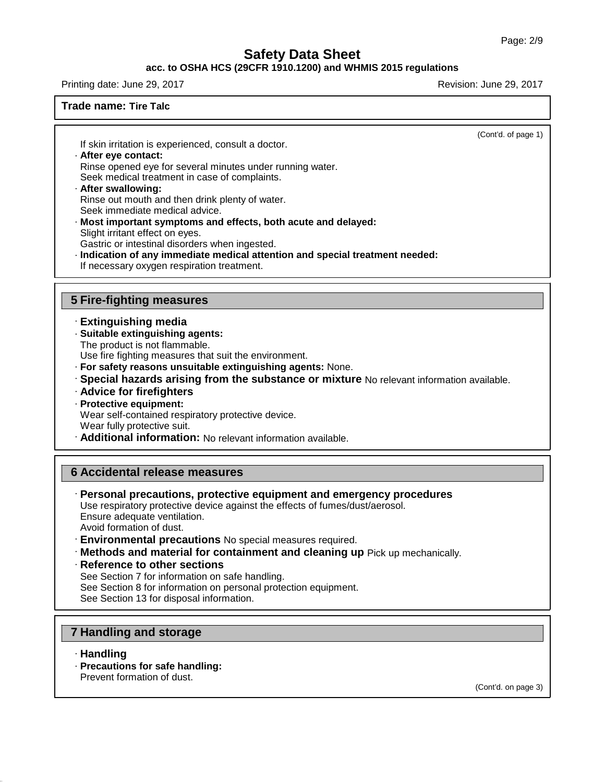### **acc. to OSHA HCS (29CFR 1910.1200) and WHMIS 2015 regulations**

Printing date: June 29, 2017 **Revision: June 29, 2017** Revision: June 29, 2017

### **Trade name: Tire Talc**

(Cont'd. of page 1)

If skin irritation is experienced, consult a doctor.

### · **After eye contact:**

Rinse opened eye for several minutes under running water.

Seek medical treatment in case of complaints.

# · **After swallowing:**

Rinse out mouth and then drink plenty of water. Seek immediate medical advice.

- · **Most important symptoms and effects, both acute and delayed:** Slight irritant effect on eyes. Gastric or intestinal disorders when ingested.
- 
- · **Indication of any immediate medical attention and special treatment needed:** If necessary oxygen respiration treatment.

### **5 Fire-fighting measures**

- · **Extinguishing media**
- · **Suitable extinguishing agents:**
- The product is not flammable.

Use fire fighting measures that suit the environment.

- · **For safety reasons unsuitable extinguishing agents:** None.
- · **Special hazards arising from the substance or mixture** No relevant information available.
- · **Advice for firefighters**
- · **Protective equipment:**

Wear self-contained respiratory protective device.

Wear fully protective suit.

· **Additional information:** No relevant information available.

## **6 Accidental release measures**

· **Personal precautions, protective equipment and emergency procedures** Use respiratory protective device against the effects of fumes/dust/aerosol. Ensure adequate ventilation.

Avoid formation of dust.

- · **Environmental precautions** No special measures required.
- · **Methods and material for containment and cleaning up** Pick up mechanically.
- · **Reference to other sections**

See Section 7 for information on safe handling.

See Section 8 for information on personal protection equipment.

See Section 13 for disposal information.

## **7 Handling and storage**

· **Handling**

45.1.0

· **Precautions for safe handling:** Prevent formation of dust.

(Cont'd. on page 3)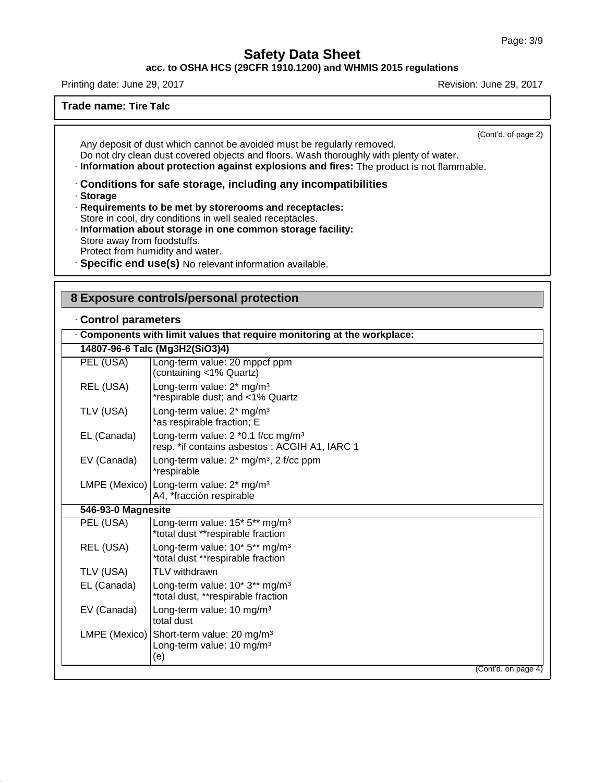**acc. to OSHA HCS (29CFR 1910.1200) and WHMIS 2015 regulations**

Printing date: June 29, 2017 **Revision: June 29, 2017** Revision: June 29, 2017

**Trade name: Tire Talc**

(Cont'd. of page 2)

Any deposit of dust which cannot be avoided must be regularly removed. Do not dry clean dust covered objects and floors. Wash thoroughly with plenty of water. · **Information about protection against explosions and fires:** The product is not flammable.

· **Conditions for safe storage, including any incompatibilities**

· **Storage**

45.1.0

· **Requirements to be met by storerooms and receptacles:** Store in cool, dry conditions in well sealed receptacles.

- · **Information about storage in one common storage facility:** Store away from foodstuffs. Protect from humidity and water.
- · **Specific end use(s)** No relevant information available.

### **8 Exposure controls/personal protection**

### · **Control parameters**

|                    | Components with limit values that require monitoring at the workplace:                          |
|--------------------|-------------------------------------------------------------------------------------------------|
|                    | 14807-96-6 Talc (Mg3H2(SiO3)4)                                                                  |
| PEL (USA)          | Long-term value: 20 mppcf ppm<br>(containing <1% Quartz)                                        |
| REL (USA)          | Long-term value: 2* mg/m <sup>3</sup><br>*respirable dust; and <1% Quartz                       |
| TLV (USA)          | Long-term value: 2* mg/m <sup>3</sup><br>*as respirable fraction; E                             |
| EL (Canada)        | Long-term value: 2 *0.1 f/cc mg/m <sup>3</sup><br>resp. *if contains asbestos: ACGIH A1, IARC 1 |
| EV (Canada)        | Long-term value: $2^*$ mg/m <sup>3</sup> , 2 f/cc ppm<br>*respirable                            |
|                    | LMPE (Mexico)   Long-term value: 2* mg/m <sup>3</sup><br>A4, *fracción respirable               |
| 546-93-0 Magnesite |                                                                                                 |
| PEL (USA)          | Long-term value: 15* 5** mg/m <sup>3</sup><br>*total dust **respirable fraction                 |
| REL (USA)          | Long-term value: 10* 5** mg/m <sup>3</sup><br>*total dust **respirable fraction                 |
| TLV (USA)          | TLV withdrawn                                                                                   |
| EL (Canada)        | Long-term value: 10* 3** mg/m <sup>3</sup><br>*total dust, **respirable fraction                |
| EV (Canada)        | Long-term value: 10 mg/m <sup>3</sup><br>total dust                                             |
| LMPE (Mexico)      | Short-term value: 20 mg/m <sup>3</sup><br>Long-term value: 10 mg/m <sup>3</sup><br>(e)          |
|                    | (Cont'd. on page 4)                                                                             |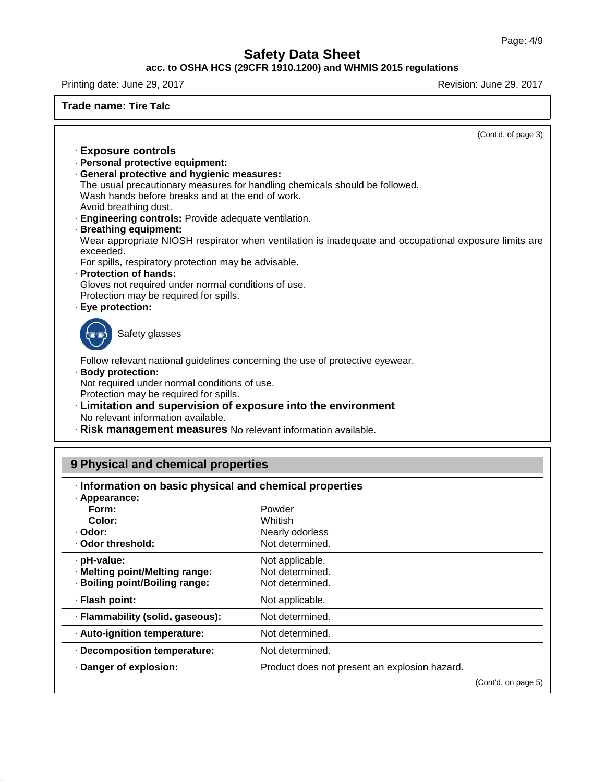### **acc. to OSHA HCS (29CFR 1910.1200) and WHMIS 2015 regulations**

Printing date: June 29, 2017 **Printing date: June 29, 2017** 

**Trade name: Tire Talc**

| (Cont'd. of page 3)                                                                                                        |  |
|----------------------------------------------------------------------------------------------------------------------------|--|
| <b>Exposure controls</b>                                                                                                   |  |
| · Personal protective equipment:                                                                                           |  |
| · General protective and hygienic measures:<br>The usual precautionary measures for handling chemicals should be followed. |  |
| Wash hands before breaks and at the end of work.<br>Avoid breathing dust.                                                  |  |
| · Engineering controls: Provide adequate ventilation.                                                                      |  |
| · Breathing equipment:                                                                                                     |  |
| Wear appropriate NIOSH respirator when ventilation is inadequate and occupational exposure limits are<br>exceeded.         |  |
| For spills, respiratory protection may be advisable.                                                                       |  |
| · Protection of hands:                                                                                                     |  |
| Gloves not required under normal conditions of use.                                                                        |  |
| Protection may be required for spills.                                                                                     |  |
| · Eye protection:                                                                                                          |  |
| Safety glasses                                                                                                             |  |
| Follow relevant national guidelines concerning the use of protective eyewear.<br>· Body protection:                        |  |
| Not required under normal conditions of use.                                                                               |  |
| Protection may be required for spills.                                                                                     |  |
| · Limitation and supervision of exposure into the environment                                                              |  |
| No relevant information available.                                                                                         |  |
| · Risk management measures No relevant information available.                                                              |  |
|                                                                                                                            |  |

# **9 Physical and chemical properties**

45.1.0

| · Information on basic physical and chemical properties<br>· Appearance: |                                               |  |
|--------------------------------------------------------------------------|-----------------------------------------------|--|
| Form:                                                                    | Powder                                        |  |
| Color:                                                                   | Whitish                                       |  |
| · Odor:                                                                  | Nearly odorless                               |  |
| Odor threshold:                                                          | Not determined.                               |  |
| · pH-value:                                                              | Not applicable.                               |  |
| · Melting point/Melting range:                                           | Not determined.                               |  |
| · Boiling point/Boiling range:                                           | Not determined.                               |  |
| · Flash point:                                                           | Not applicable.                               |  |
| · Flammability (solid, gaseous):                                         | Not determined.                               |  |
| · Auto-ignition temperature:                                             | Not determined.                               |  |
| · Decomposition temperature:                                             | Not determined.                               |  |
| · Danger of explosion:                                                   | Product does not present an explosion hazard. |  |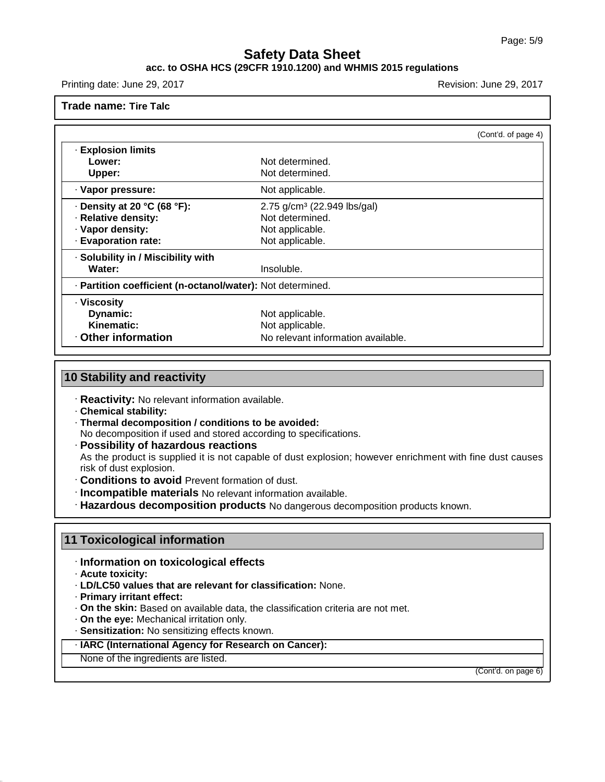### **acc. to OSHA HCS (29CFR 1910.1200) and WHMIS 2015 regulations**

Printing date: June 29, 2017 **Revision: June 29, 2017** Revision: June 29, 2017

**Trade name: Tire Talc**

|                                                            |                                         | (Cont'd. of page 4) |
|------------------------------------------------------------|-----------------------------------------|---------------------|
| <b>· Explosion limits</b>                                  |                                         |                     |
| Lower:                                                     | Not determined.                         |                     |
| Upper:                                                     | Not determined.                         |                     |
| · Vapor pressure:                                          | Not applicable.                         |                     |
| $\cdot$ Density at 20 °C (68 °F):                          | 2.75 g/cm <sup>3</sup> (22.949 lbs/gal) |                     |
| · Relative density:                                        | Not determined.                         |                     |
| · Vapor density:                                           | Not applicable.                         |                     |
| · Evaporation rate:                                        | Not applicable.                         |                     |
| · Solubility in / Miscibility with                         |                                         |                     |
| Water:                                                     | Insoluble.                              |                     |
| · Partition coefficient (n-octanol/water): Not determined. |                                         |                     |
| · Viscosity                                                |                                         |                     |
| Dynamic:                                                   | Not applicable.                         |                     |
| Kinematic:                                                 | Not applicable.                         |                     |
| Other information                                          | No relevant information available.      |                     |

## **10 Stability and reactivity**

· **Reactivity:** No relevant information available.

- · **Chemical stability:**
- · **Thermal decomposition / conditions to be avoided:**
- No decomposition if used and stored according to specifications.

· **Possibility of hazardous reactions**

As the product is supplied it is not capable of dust explosion; however enrichment with fine dust causes risk of dust explosion.

- · **Conditions to avoid** Prevent formation of dust.
- · **Incompatible materials** No relevant information available.
- · **Hazardous decomposition products** No dangerous decomposition products known.

### **11 Toxicological information**

- · **Information on toxicological effects**
- · **Acute toxicity:**

45.1.0

- · **LD/LC50 values that are relevant for classification:** None.
- · **Primary irritant effect:**
- · **On the skin:** Based on available data, the classification criteria are not met.
- · **On the eye:** Mechanical irritation only.
- · **Sensitization:** No sensitizing effects known.
- · **IARC (International Agency for Research on Cancer):**
- None of the ingredients are listed.

(Cont'd. on page 6)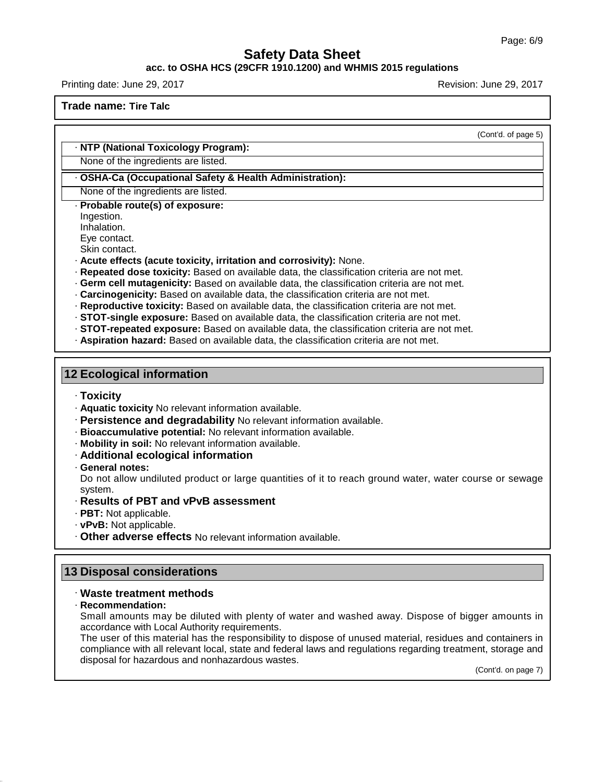### **acc. to OSHA HCS (29CFR 1910.1200) and WHMIS 2015 regulations**

Printing date: June 29, 2017 **Revision: June 29, 2017** Revision: June 29, 2017

**Trade name: Tire Talc**

(Cont'd. of page 5)

#### · **NTP (National Toxicology Program):**

None of the ingredients are listed.

#### · **OSHA-Ca (Occupational Safety & Health Administration):**

None of the ingredients are listed. · **Probable route(s) of exposure:**

Ingestion.

Inhalation.

Eye contact.

Skin contact.

· **Acute effects (acute toxicity, irritation and corrosivity):** None.

- · **Repeated dose toxicity:** Based on available data, the classification criteria are not met.
- · **Germ cell mutagenicity:** Based on available data, the classification criteria are not met.
- · **Carcinogenicity:** Based on available data, the classification criteria are not met.
- · **Reproductive toxicity:** Based on available data, the classification criteria are not met.
- · **STOT-single exposure:** Based on available data, the classification criteria are not met.
- · **STOT-repeated exposure:** Based on available data, the classification criteria are not met.
- · **Aspiration hazard:** Based on available data, the classification criteria are not met.

### **12 Ecological information**

- · **Toxicity**
- · **Aquatic toxicity** No relevant information available.
- · **Persistence and degradability** No relevant information available.
- · **Bioaccumulative potential:** No relevant information available.
- · **Mobility in soil:** No relevant information available.
- · **Additional ecological information**
- · **General notes:**

Do not allow undiluted product or large quantities of it to reach ground water, water course or sewage system.

- · **Results of PBT and vPvB assessment**
- · **PBT:** Not applicable.
- · **vPvB:** Not applicable.

· **Other adverse effects** No relevant information available.

### **13 Disposal considerations**

### · **Waste treatment methods**

#### · **Recommendation:**

45.1.0

Small amounts may be diluted with plenty of water and washed away. Dispose of bigger amounts in accordance with Local Authority requirements.

The user of this material has the responsibility to dispose of unused material, residues and containers in compliance with all relevant local, state and federal laws and regulations regarding treatment, storage and disposal for hazardous and nonhazardous wastes.

(Cont'd. on page 7)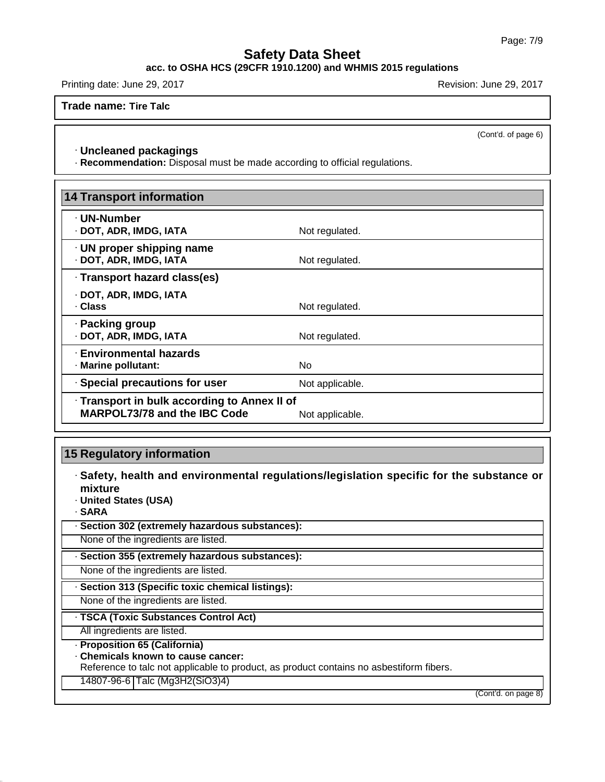**acc. to OSHA HCS (29CFR 1910.1200) and WHMIS 2015 regulations**

Printing date: June 29, 2017 **Revision: June 29, 2017** Revision: June 29, 2017

**Trade name: Tire Talc**

(Cont'd. of page 6)

### · **Uncleaned packagings**

· **Recommendation:** Disposal must be made according to official regulations.

| 14 Transport information                                                            |                 |
|-------------------------------------------------------------------------------------|-----------------|
| · UN-Number<br>· DOT, ADR, IMDG, IATA                                               | Not regulated.  |
| $\cdot$ UN proper shipping name<br>· DOT, ADR, IMDG, IATA                           | Not regulated.  |
| · Transport hazard class(es)                                                        |                 |
| · DOT, ADR, IMDG, IATA<br>· Class                                                   | Not regulated.  |
| · Packing group<br>· DOT, ADR, IMDG, IATA                                           | Not regulated.  |
| · Environmental hazards<br>· Marine pollutant:                                      | No.             |
| · Special precautions for user                                                      | Not applicable. |
| · Transport in bulk according to Annex II of<br><b>MARPOL73/78 and the IBC Code</b> | Not applicable. |

## **15 Regulatory information**

· **Safety, health and environmental regulations/legislation specific for the substance or mixture**

· **United States (USA)**

· **SARA**

45.1.0

| · Section 302 (extremely hazardous substances): |  |
|-------------------------------------------------|--|
|-------------------------------------------------|--|

None of the ingredients are listed.

· **Section 355 (extremely hazardous substances):**

None of the ingredients are listed.

· **Section 313 (Specific toxic chemical listings):**

None of the ingredients are listed.

## · **TSCA (Toxic Substances Control Act)**

All ingredients are listed.

· **Proposition 65 (California)**

· **Chemicals known to cause cancer:**

Reference to talc not applicable to product, as product contains no asbestiform fibers.

14807-96-6 Talc (Mg3H2(SiO3)4)

(Cont'd. on page 8)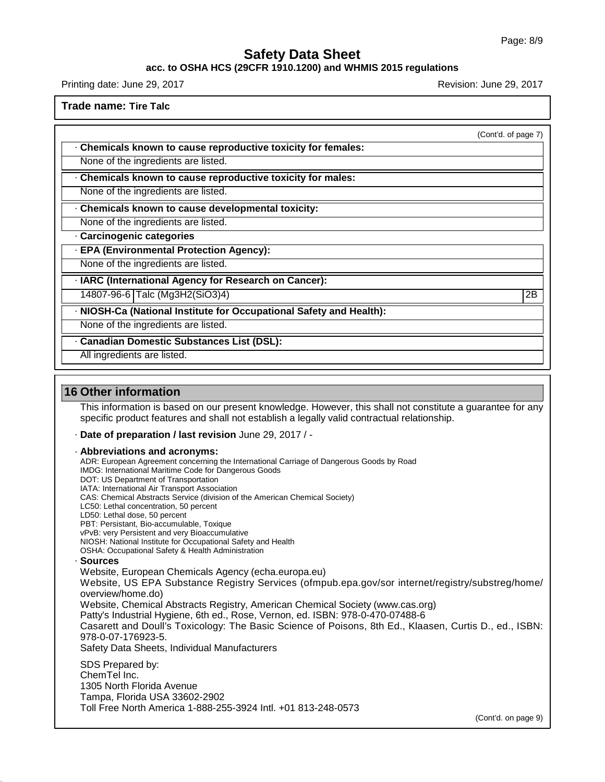#### **acc. to OSHA HCS (29CFR 1910.1200) and WHMIS 2015 regulations**

Printing date: June 29, 2017 **Revision: June 29, 2017** Revision: June 29, 2017

**Trade name: Tire Talc**

(Cont'd. of page 7)

· **Chemicals known to cause reproductive toxicity for females:**

None of the ingredients are listed.

· **Chemicals known to cause reproductive toxicity for males:**

None of the ingredients are listed.

· **Chemicals known to cause developmental toxicity:**

None of the ingredients are listed.

· **Carcinogenic categories**

· **EPA (Environmental Protection Agency):**

None of the ingredients are listed.

· **IARC (International Agency for Research on Cancer):**

14807-96-6 Talc (Mg3H2(SiO3)4) 2B

· **NIOSH-Ca (National Institute for Occupational Safety and Health):**

None of the ingredients are listed.

· **Canadian Domestic Substances List (DSL):**

All ingredients are listed.

### **16 Other information**

45.1.0

This information is based on our present knowledge. However, this shall not constitute a guarantee for any specific product features and shall not establish a legally valid contractual relationship.

· **Date of preparation / last revision** June 29, 2017 / -

Toll Free North America 1-888-255-3924 Intl. +01 813-248-0573

#### · **Abbreviations and acronyms:**

ADR: European Agreement concerning the International Carriage of Dangerous Goods by Road IMDG: International Maritime Code for Dangerous Goods DOT: US Department of Transportation IATA: International Air Transport Association CAS: Chemical Abstracts Service (division of the American Chemical Society) LC50: Lethal concentration, 50 percent LD50: Lethal dose, 50 percent PBT: Persistant, Bio-accumulable, Toxique vPvB: very Persistent and very Bioaccumulative NIOSH: National Institute for Occupational Safety and Health OSHA: Occupational Safety & Health Administration · **Sources** Website, European Chemicals Agency (echa.europa.eu) Website, US EPA Substance Registry Services (ofmpub.epa.gov/sor internet/registry/substreg/home/ overview/home.do) Website, Chemical Abstracts Registry, American Chemical Society (www.cas.org) Patty's Industrial Hygiene, 6th ed., Rose, Vernon, ed. ISBN: 978-0-470-07488-6 Casarett and Doull's Toxicology: The Basic Science of Poisons, 8th Ed., Klaasen, Curtis D.,ed., ISBN: 978-0-07-176923-5. Safety Data Sheets, Individual Manufacturers SDS Prepared by: ChemTel Inc. 1305 North Florida Avenue Tampa, Florida USA 33602-2902

(Cont'd. on page 9)